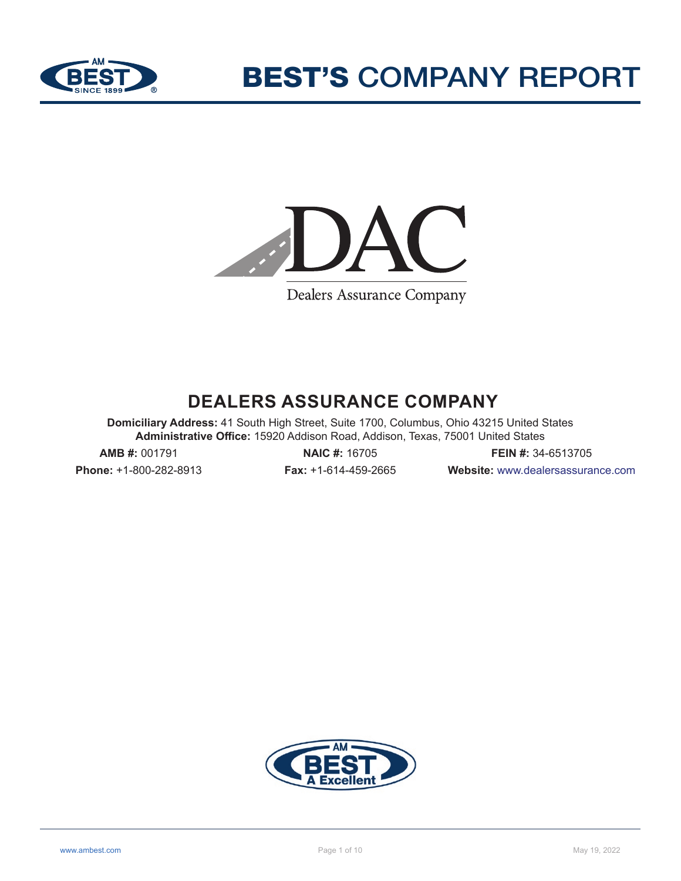



Dealers Assurance Company

# **DEALERS ASSURANCE COMPANY**

**Domiciliary Address:** 41 South High Street, Suite 1700, Columbus, Ohio 43215 United States **Administrative Office:** 15920 Addison Road, Addison, Texas, 75001 United States

**Phone:** +1-800-282-8913 **Fax:** +1-614-459-2665 **Website:** www.dealersassurance.com

**AMB #:** 001791 **NAIC #:** 16705 **FEIN #:** 34-6513705

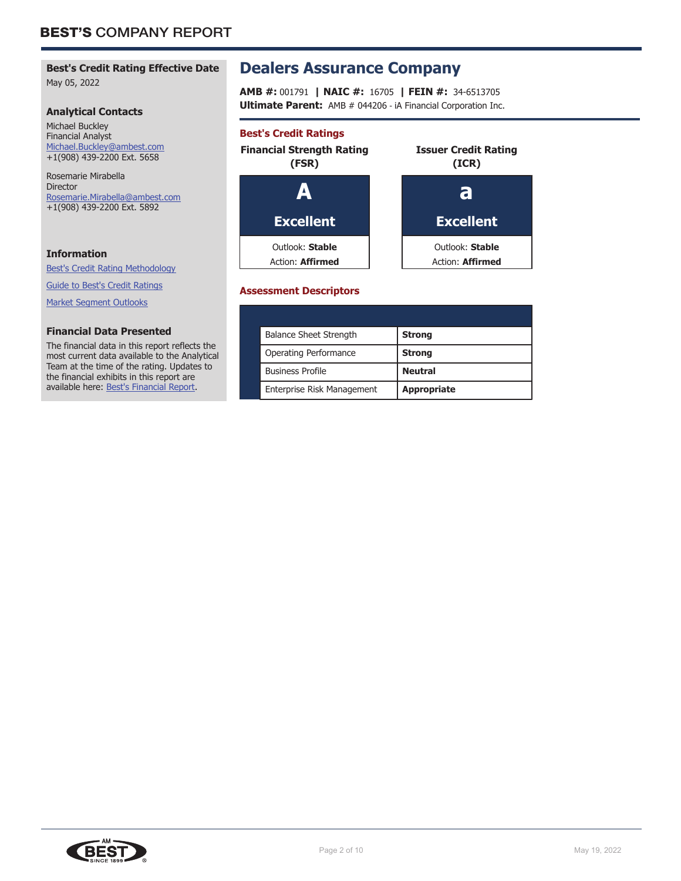# **Best's Credit Rating Effective Date**

May 05, 2022

#### **Analytical Contacts**

Michael Buckley Financial Analyst Michael.Buckley@ambest.com +1(908) 439-2200 Ext. 5658

Rosemarie Mirabella Director Rosemarie.Mirabella@ambest.com +1(908) 439-2200 Ext. 5892

## **Information**

Best's Credit Rating Methodology

Guide to Best's Credit Ratings

Market Segment Outlooks

#### **Financial Data Presented**

The financial data in this report reflects the most current data available to the Analytical Team at the time of the rating. Updates to the financial exhibits in this report are available here: Best's Financial Report.

# **Dealers Assurance Company**

**AMB #:** 001791 **| NAIC #:** 16705 **| FEIN #:** 34-6513705 **Ultimate Parent:** AMB # 044206 - iA Financial Corporation Inc.

# **Best's Credit Ratings**



## **Assessment Descriptors**

| <b>Balance Sheet Strength</b> | <b>Strong</b>      |
|-------------------------------|--------------------|
| Operating Performance         | <b>Strong</b>      |
| <b>Business Profile</b>       | <b>Neutral</b>     |
| Enterprise Risk Management    | <b>Appropriate</b> |

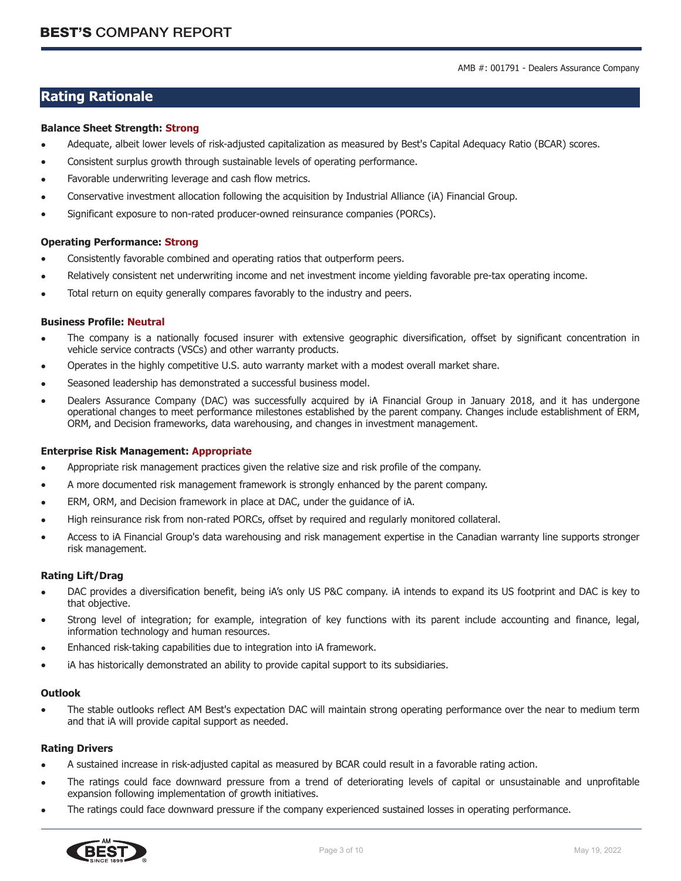## **Rating Rationale**

#### **Balance Sheet Strength: Strong**

- Adequate, albeit lower levels of risk-adjusted capitalization as measured by Best's Capital Adequacy Ratio (BCAR) scores.
- Consistent surplus growth through sustainable levels of operating performance.
- Favorable underwriting leverage and cash flow metrics.
- Conservative investment allocation following the acquisition by Industrial Alliance (iA) Financial Group.
- Significant exposure to non-rated producer-owned reinsurance companies (PORCs).

#### **Operating Performance: Strong**

- Consistently favorable combined and operating ratios that outperform peers.
- Relatively consistent net underwriting income and net investment income yielding favorable pre-tax operating income.
- Total return on equity generally compares favorably to the industry and peers.

#### **Business Profile: Neutral**

- The company is a nationally focused insurer with extensive geographic diversification, offset by significant concentration in vehicle service contracts (VSCs) and other warranty products.
- Operates in the highly competitive U.S. auto warranty market with a modest overall market share.
- Seasoned leadership has demonstrated a successful business model.
- Dealers Assurance Company (DAC) was successfully acquired by iA Financial Group in January 2018, and it has undergone operational changes to meet performance milestones established by the parent company. Changes include establishment of ERM, ORM, and Decision frameworks, data warehousing, and changes in investment management.

#### **Enterprise Risk Management: Appropriate**

- Appropriate risk management practices given the relative size and risk profile of the company.
- A more documented risk management framework is strongly enhanced by the parent company.
- ERM, ORM, and Decision framework in place at DAC, under the guidance of iA.
- High reinsurance risk from non-rated PORCs, offset by required and regularly monitored collateral.
- Access to iA Financial Group's data warehousing and risk management expertise in the Canadian warranty line supports stronger risk management.

#### **Rating Lift/Drag**

- DAC provides a diversification benefit, being iA's only US P&C company. iA intends to expand its US footprint and DAC is key to that objective.
- Strong level of integration; for example, integration of key functions with its parent include accounting and finance, legal, information technology and human resources.
- Enhanced risk-taking capabilities due to integration into iA framework.
- iA has historically demonstrated an ability to provide capital support to its subsidiaries.

#### **Outlook**

• The stable outlooks reflect AM Best's expectation DAC will maintain strong operating performance over the near to medium term and that iA will provide capital support as needed.

#### **Rating Drivers**

- A sustained increase in risk-adjusted capital as measured by BCAR could result in a favorable rating action.
- The ratings could face downward pressure from a trend of deteriorating levels of capital or unsustainable and unprofitable expansion following implementation of growth initiatives.
- The ratings could face downward pressure if the company experienced sustained losses in operating performance.

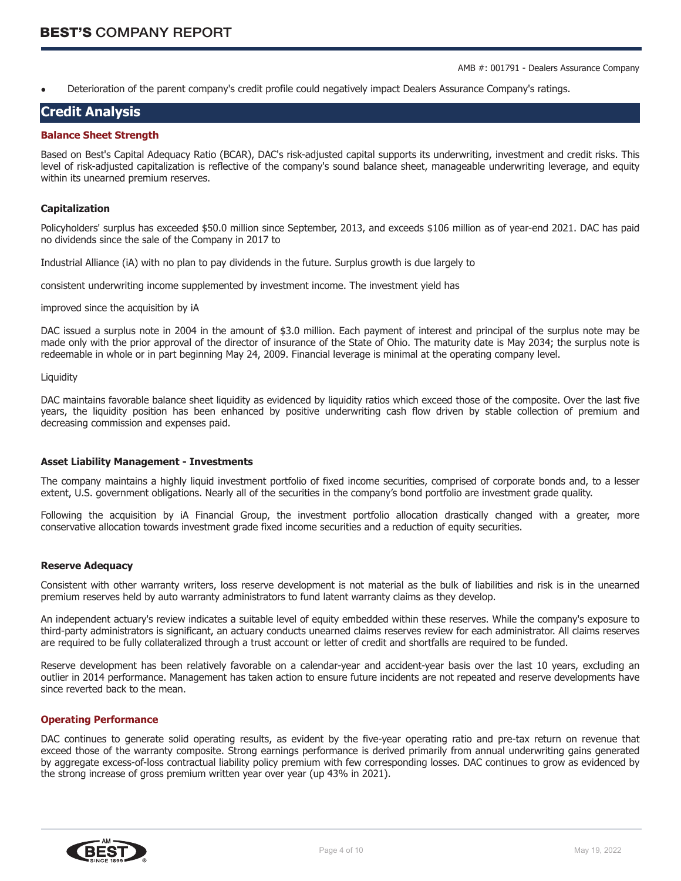AMB #: 001791 - Dealers Assurance Company

• Deterioration of the parent company's credit profile could negatively impact Dealers Assurance Company's ratings.

## **Credit Analysis**

#### **Balance Sheet Strength**

Based on Best's Capital Adequacy Ratio (BCAR), DAC's risk-adjusted capital supports its underwriting, investment and credit risks. This level of risk-adjusted capitalization is reflective of the company's sound balance sheet, manageable underwriting leverage, and equity within its unearned premium reserves.

#### **Capitalization**

Policyholders' surplus has exceeded \$50.0 million since September, 2013, and exceeds \$106 million as of year-end 2021. DAC has paid no dividends since the sale of the Company in 2017 to

Industrial Alliance (iA) with no plan to pay dividends in the future. Surplus growth is due largely to

consistent underwriting income supplemented by investment income. The investment yield has

improved since the acquisition by iA

DAC issued a surplus note in 2004 in the amount of \$3.0 million. Each payment of interest and principal of the surplus note may be made only with the prior approval of the director of insurance of the State of Ohio. The maturity date is May 2034; the surplus note is redeemable in whole or in part beginning May 24, 2009. Financial leverage is minimal at the operating company level.

#### **Liquidity**

DAC maintains favorable balance sheet liquidity as evidenced by liquidity ratios which exceed those of the composite. Over the last five years, the liquidity position has been enhanced by positive underwriting cash flow driven by stable collection of premium and decreasing commission and expenses paid.

#### **Asset Liability Management - Investments**

The company maintains a highly liquid investment portfolio of fixed income securities, comprised of corporate bonds and, to a lesser extent, U.S. government obligations. Nearly all of the securities in the company's bond portfolio are investment grade quality.

Following the acquisition by iA Financial Group, the investment portfolio allocation drastically changed with a greater, more conservative allocation towards investment grade fixed income securities and a reduction of equity securities.

#### **Reserve Adequacy**

Consistent with other warranty writers, loss reserve development is not material as the bulk of liabilities and risk is in the unearned premium reserves held by auto warranty administrators to fund latent warranty claims as they develop.

An independent actuary's review indicates a suitable level of equity embedded within these reserves. While the company's exposure to third-party administrators is significant, an actuary conducts unearned claims reserves review for each administrator. All claims reserves are required to be fully collateralized through a trust account or letter of credit and shortfalls are required to be funded.

Reserve development has been relatively favorable on a calendar-year and accident-year basis over the last 10 years, excluding an outlier in 2014 performance. Management has taken action to ensure future incidents are not repeated and reserve developments have since reverted back to the mean.

#### **Operating Performance**

DAC continues to generate solid operating results, as evident by the five-year operating ratio and pre-tax return on revenue that exceed those of the warranty composite. Strong earnings performance is derived primarily from annual underwriting gains generated by aggregate excess-of-loss contractual liability policy premium with few corresponding losses. DAC continues to grow as evidenced by the strong increase of gross premium written year over year (up 43% in 2021).

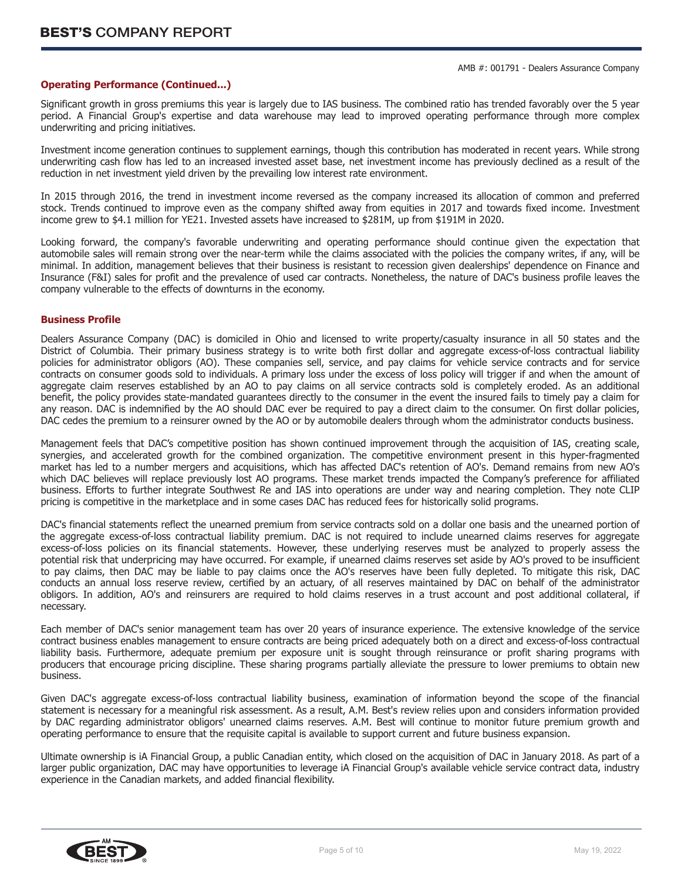#### **Operating Performance (Continued...)**

Significant growth in gross premiums this year is largely due to IAS business. The combined ratio has trended favorably over the 5 year period. A Financial Group's expertise and data warehouse may lead to improved operating performance through more complex underwriting and pricing initiatives.

Investment income generation continues to supplement earnings, though this contribution has moderated in recent years. While strong underwriting cash flow has led to an increased invested asset base, net investment income has previously declined as a result of the reduction in net investment yield driven by the prevailing low interest rate environment.

In 2015 through 2016, the trend in investment income reversed as the company increased its allocation of common and preferred stock. Trends continued to improve even as the company shifted away from equities in 2017 and towards fixed income. Investment income grew to \$4.1 million for YE21. Invested assets have increased to \$281M, up from \$191M in 2020.

Looking forward, the company's favorable underwriting and operating performance should continue given the expectation that automobile sales will remain strong over the near-term while the claims associated with the policies the company writes, if any, will be minimal. In addition, management believes that their business is resistant to recession given dealerships' dependence on Finance and Insurance (F&I) sales for profit and the prevalence of used car contracts. Nonetheless, the nature of DAC's business profile leaves the company vulnerable to the effects of downturns in the economy.

#### **Business Profile**

Dealers Assurance Company (DAC) is domiciled in Ohio and licensed to write property/casualty insurance in all 50 states and the District of Columbia. Their primary business strategy is to write both first dollar and aggregate excess-of-loss contractual liability policies for administrator obligors (AO). These companies sell, service, and pay claims for vehicle service contracts and for service contracts on consumer goods sold to individuals. A primary loss under the excess of loss policy will trigger if and when the amount of aggregate claim reserves established by an AO to pay claims on all service contracts sold is completely eroded. As an additional benefit, the policy provides state-mandated guarantees directly to the consumer in the event the insured fails to timely pay a claim for any reason. DAC is indemnified by the AO should DAC ever be required to pay a direct claim to the consumer. On first dollar policies, DAC cedes the premium to a reinsurer owned by the AO or by automobile dealers through whom the administrator conducts business.

Management feels that DAC's competitive position has shown continued improvement through the acquisition of IAS, creating scale, synergies, and accelerated growth for the combined organization. The competitive environment present in this hyper-fragmented market has led to a number mergers and acquisitions, which has affected DAC's retention of AO's. Demand remains from new AO's which DAC believes will replace previously lost AO programs. These market trends impacted the Company's preference for affiliated business. Efforts to further integrate Southwest Re and IAS into operations are under way and nearing completion. They note CLIP pricing is competitive in the marketplace and in some cases DAC has reduced fees for historically solid programs.

DAC's financial statements reflect the unearned premium from service contracts sold on a dollar one basis and the unearned portion of the aggregate excess-of-loss contractual liability premium. DAC is not required to include unearned claims reserves for aggregate excess-of-loss policies on its financial statements. However, these underlying reserves must be analyzed to properly assess the potential risk that underpricing may have occurred. For example, if unearned claims reserves set aside by AO's proved to be insufficient to pay claims, then DAC may be liable to pay claims once the AO's reserves have been fully depleted. To mitigate this risk, DAC conducts an annual loss reserve review, certified by an actuary, of all reserves maintained by DAC on behalf of the administrator obligors. In addition, AO's and reinsurers are required to hold claims reserves in a trust account and post additional collateral, if necessary.

Each member of DAC's senior management team has over 20 years of insurance experience. The extensive knowledge of the service contract business enables management to ensure contracts are being priced adequately both on a direct and excess-of-loss contractual liability basis. Furthermore, adequate premium per exposure unit is sought through reinsurance or profit sharing programs with producers that encourage pricing discipline. These sharing programs partially alleviate the pressure to lower premiums to obtain new business.

Given DAC's aggregate excess-of-loss contractual liability business, examination of information beyond the scope of the financial statement is necessary for a meaningful risk assessment. As a result, A.M. Best's review relies upon and considers information provided by DAC regarding administrator obligors' unearned claims reserves. A.M. Best will continue to monitor future premium growth and operating performance to ensure that the requisite capital is available to support current and future business expansion.

Ultimate ownership is iA Financial Group, a public Canadian entity, which closed on the acquisition of DAC in January 2018. As part of a larger public organization, DAC may have opportunities to leverage iA Financial Group's available vehicle service contract data, industry experience in the Canadian markets, and added financial flexibility.

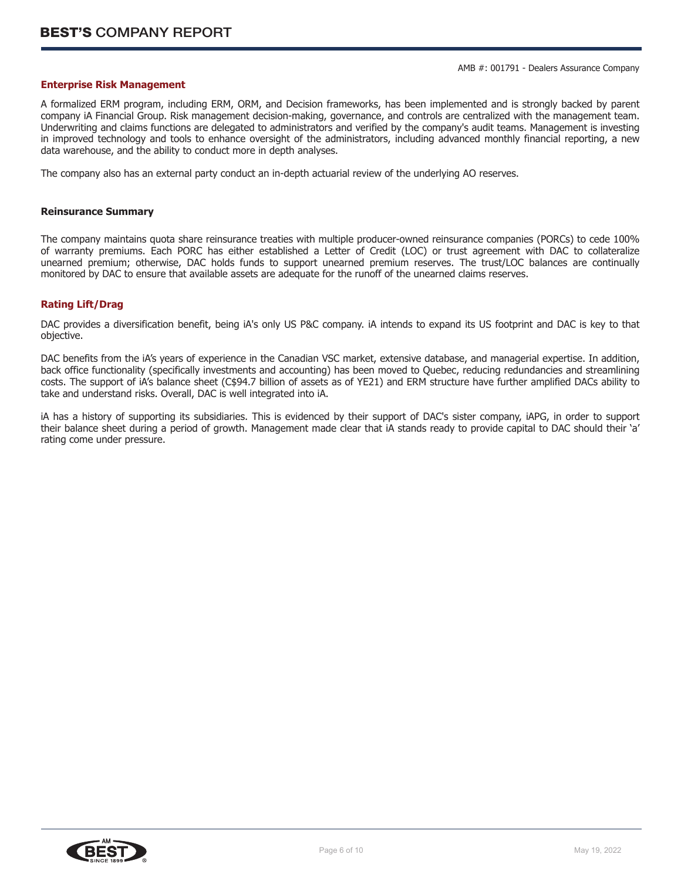#### **Enterprise Risk Management**

A formalized ERM program, including ERM, ORM, and Decision frameworks, has been implemented and is strongly backed by parent company iA Financial Group. Risk management decision-making, governance, and controls are centralized with the management team. Underwriting and claims functions are delegated to administrators and verified by the company's audit teams. Management is investing in improved technology and tools to enhance oversight of the administrators, including advanced monthly financial reporting, a new data warehouse, and the ability to conduct more in depth analyses.

The company also has an external party conduct an in-depth actuarial review of the underlying AO reserves.

#### **Reinsurance Summary**

The company maintains quota share reinsurance treaties with multiple producer-owned reinsurance companies (PORCs) to cede 100% of warranty premiums. Each PORC has either established a Letter of Credit (LOC) or trust agreement with DAC to collateralize unearned premium; otherwise, DAC holds funds to support unearned premium reserves. The trust/LOC balances are continually monitored by DAC to ensure that available assets are adequate for the runoff of the unearned claims reserves.

#### **Rating Lift/Drag**

DAC provides a diversification benefit, being iA's only US P&C company. iA intends to expand its US footprint and DAC is key to that objective.

DAC benefits from the iA's years of experience in the Canadian VSC market, extensive database, and managerial expertise. In addition, back office functionality (specifically investments and accounting) has been moved to Quebec, reducing redundancies and streamlining costs. The support of iA's balance sheet (C\$94.7 billion of assets as of YE21) and ERM structure have further amplified DACs ability to take and understand risks. Overall, DAC is well integrated into iA.

iA has a history of supporting its subsidiaries. This is evidenced by their support of DAC's sister company, iAPG, in order to support their balance sheet during a period of growth. Management made clear that iA stands ready to provide capital to DAC should their 'a' rating come under pressure.

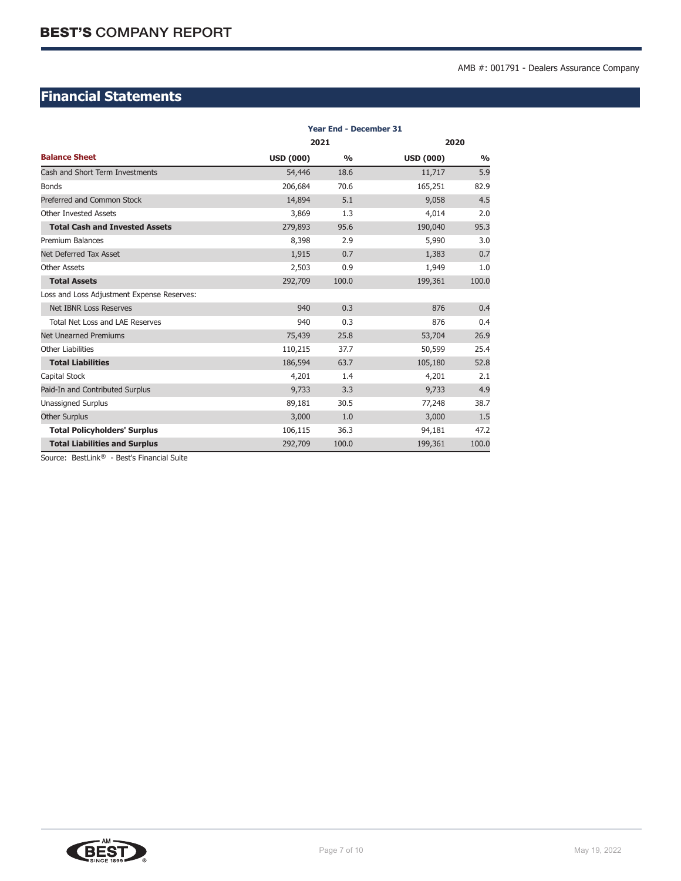# **Financial Statements**

|                                            | <b>Year End - December 31</b> |               |                  |               |  |  |  |
|--------------------------------------------|-------------------------------|---------------|------------------|---------------|--|--|--|
|                                            | 2021                          |               |                  | 2020          |  |  |  |
| <b>Balance Sheet</b>                       | <b>USD (000)</b>              | $\frac{0}{0}$ | <b>USD (000)</b> | $\frac{0}{0}$ |  |  |  |
| Cash and Short Term Investments            | 54,446                        | 18.6          | 11,717           | 5.9           |  |  |  |
| <b>Bonds</b>                               | 206,684                       | 70.6          | 165,251          | 82.9          |  |  |  |
| Preferred and Common Stock                 | 14,894                        | 5.1           | 9,058            | 4.5           |  |  |  |
| <b>Other Invested Assets</b>               | 3,869                         | 1.3           | 4,014            | 2.0           |  |  |  |
| <b>Total Cash and Invested Assets</b>      | 279,893                       | 95.6          | 190,040          | 95.3          |  |  |  |
| <b>Premium Balances</b>                    | 8,398                         | 2.9           | 5,990            | 3.0           |  |  |  |
| Net Deferred Tax Asset                     | 1,915                         | 0.7           | 1,383            | 0.7           |  |  |  |
| <b>Other Assets</b>                        | 2,503                         | 0.9           | 1,949            | 1.0           |  |  |  |
| <b>Total Assets</b>                        | 292,709                       | 100.0         | 199,361          | 100.0         |  |  |  |
| Loss and Loss Adjustment Expense Reserves: |                               |               |                  |               |  |  |  |
| <b>Net IBNR Loss Reserves</b>              | 940                           | 0.3           | 876              | 0.4           |  |  |  |
| Total Net Loss and LAE Reserves            | 940                           | 0.3           | 876              | 0.4           |  |  |  |
| <b>Net Unearned Premiums</b>               | 75,439                        | 25.8          | 53,704           | 26.9          |  |  |  |
| <b>Other Liabilities</b>                   | 110,215                       | 37.7          | 50,599           | 25.4          |  |  |  |
| <b>Total Liabilities</b>                   | 186,594                       | 63.7          | 105,180          | 52.8          |  |  |  |
| Capital Stock                              | 4,201                         | 1.4           | 4,201            | 2.1           |  |  |  |
| Paid-In and Contributed Surplus            | 9,733                         | 3.3           | 9,733            | 4.9           |  |  |  |
| <b>Unassigned Surplus</b>                  | 89,181                        | 30.5          | 77,248           | 38.7          |  |  |  |
| <b>Other Surplus</b>                       | 3,000                         | 1.0           | 3,000            | 1.5           |  |  |  |
| <b>Total Policyholders' Surplus</b>        | 106,115                       | 36.3          | 94,181           | 47.2          |  |  |  |
| <b>Total Liabilities and Surplus</b>       | 292,709                       | 100.0         | 199,361          | 100.0         |  |  |  |

Source: BestLink® - Best's Financial Suite

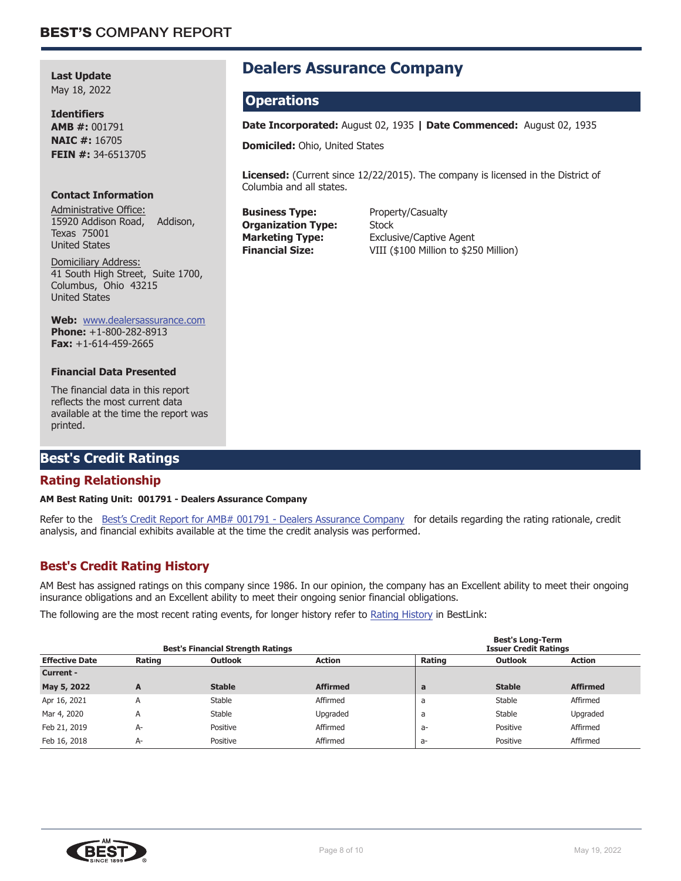**Last Update** May 18, 2022

**Identifiers AMB #:** 001791 **NAIC #:** 16705 **FEIN #:** 34-6513705

#### **Contact Information**

Administrative Office: 15920 Addison Road, Addison, Texas 75001 United States

Domiciliary Address: 41 South High Street, Suite 1700, Columbus, Ohio 43215 United States

#### **Web:** www.dealersassurance.com

**Phone:** +1-800-282-8913 **Fax:** +1-614-459-2665

#### **Financial Data Presented**

The financial data in this report reflects the most current data available at the time the report was printed.

# **Best's Credit Ratings**

## **Rating Relationship**

#### **AM Best Rating Unit: 001791 - Dealers Assurance Company**

Refer to the Best's Credit Report for AMB# 001791 - Dealers Assurance Company for details regarding the rating rationale, credit analysis, and financial exhibits available at the time the credit analysis was performed.

# **Best's Credit Rating History**

AM Best has assigned ratings on this company since 1986. In our opinion, the company has an Excellent ability to meet their ongoing insurance obligations and an Excellent ability to meet their ongoing senior financial obligations.

The following are the most recent rating events, for longer history refer to Rating History in BestLink:

| <b>Best's Financial Strength Ratings</b> |        |                |                 |        | <b>Best's Long-Term</b><br><b>Issuer Credit Ratings</b> |                 |  |  |
|------------------------------------------|--------|----------------|-----------------|--------|---------------------------------------------------------|-----------------|--|--|
| <b>Effective Date</b>                    | Rating | <b>Outlook</b> | Action          | Rating | <b>Outlook</b>                                          | Action          |  |  |
| <b>Current -</b>                         |        |                |                 |        |                                                         |                 |  |  |
| May 5, 2022                              | A      | <b>Stable</b>  | <b>Affirmed</b> | a      | <b>Stable</b>                                           | <b>Affirmed</b> |  |  |
| Apr 16, 2021                             | A      | Stable         | Affirmed        | a      | Stable                                                  | Affirmed        |  |  |
| Mar 4, 2020                              | A      | Stable         | Upgraded        | a      | Stable                                                  | Upgraded        |  |  |
| Feb 21, 2019                             | A-     | Positive       | Affirmed        | a-     | Positive                                                | Affirmed        |  |  |
| Feb 16, 2018                             | $A-$   | Positive       | Affirmed        | $a-$   | Positive                                                | Affirmed        |  |  |



# **Dealers Assurance Company**

# **Operations**

**Date Incorporated:** August 02, 1935 **| Date Commenced:** August 02, 1935

**Domiciled:** Ohio, United States

**Licensed:** (Current since 12/22/2015). The company is licensed in the District of Columbia and all states.

**Business Type:** Property/Casualty **Organization Type:** Stock<br>**Marketing Type:** Exclus

**Exclusive/Captive Agent Financial Size:** VIII (\$100 Million to \$250 Million)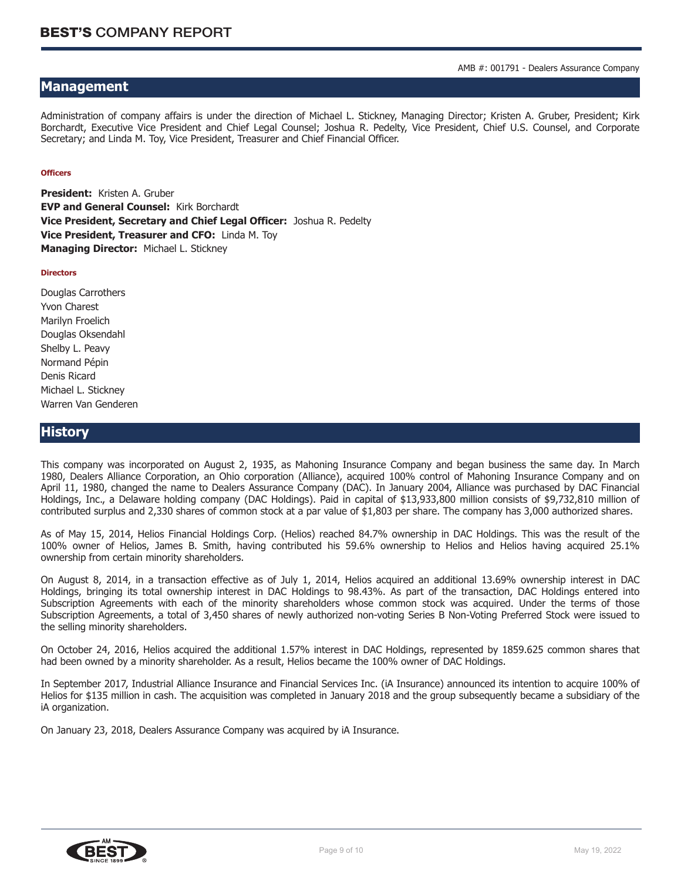# **Management**

Administration of company affairs is under the direction of Michael L. Stickney, Managing Director; Kristen A. Gruber, President; Kirk Borchardt, Executive Vice President and Chief Legal Counsel; Joshua R. Pedelty, Vice President, Chief U.S. Counsel, and Corporate Secretary; and Linda M. Toy, Vice President, Treasurer and Chief Financial Officer.

#### **Officers**

**President:** Kristen A. Gruber **EVP and General Counsel:** Kirk Borchardt **Vice President, Secretary and Chief Legal Officer:** Joshua R. Pedelty **Vice President, Treasurer and CFO:** Linda M. Toy **Managing Director:** Michael L. Stickney

#### **Directors**

Douglas Carrothers Yvon Charest Marilyn Froelich Douglas Oksendahl Shelby L. Peavy Normand Pépin Denis Ricard Michael L. Stickney Warren Van Genderen

#### **History**

This company was incorporated on August 2, 1935, as Mahoning Insurance Company and began business the same day. In March 1980, Dealers Alliance Corporation, an Ohio corporation (Alliance), acquired 100% control of Mahoning Insurance Company and on April 11, 1980, changed the name to Dealers Assurance Company (DAC). In January 2004, Alliance was purchased by DAC Financial Holdings, Inc., a Delaware holding company (DAC Holdings). Paid in capital of \$13,933,800 million consists of \$9,732,810 million of contributed surplus and 2,330 shares of common stock at a par value of \$1,803 per share. The company has 3,000 authorized shares.

As of May 15, 2014, Helios Financial Holdings Corp. (Helios) reached 84.7% ownership in DAC Holdings. This was the result of the 100% owner of Helios, James B. Smith, having contributed his 59.6% ownership to Helios and Helios having acquired 25.1% ownership from certain minority shareholders.

On August 8, 2014, in a transaction effective as of July 1, 2014, Helios acquired an additional 13.69% ownership interest in DAC Holdings, bringing its total ownership interest in DAC Holdings to 98.43%. As part of the transaction, DAC Holdings entered into Subscription Agreements with each of the minority shareholders whose common stock was acquired. Under the terms of those Subscription Agreements, a total of 3,450 shares of newly authorized non-voting Series B Non-Voting Preferred Stock were issued to the selling minority shareholders.

On October 24, 2016, Helios acquired the additional 1.57% interest in DAC Holdings, represented by 1859.625 common shares that had been owned by a minority shareholder. As a result, Helios became the 100% owner of DAC Holdings.

In September 2017, Industrial Alliance Insurance and Financial Services Inc. (iA Insurance) announced its intention to acquire 100% of Helios for \$135 million in cash. The acquisition was completed in January 2018 and the group subsequently became a subsidiary of the iA organization.

On January 23, 2018, Dealers Assurance Company was acquired by iA Insurance.